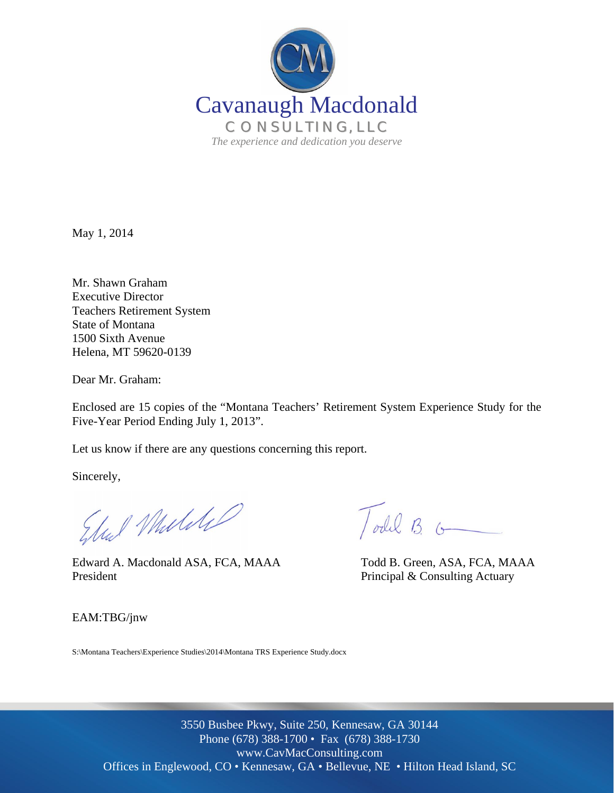

May 1, 2014

Mr. Shawn Graham Executive Director Teachers Retirement System State of Montana 1500 Sixth Avenue Helena, MT 59620-0139

Dear Mr. Graham:

Enclosed are 15 copies of the "Montana Teachers' Retirement System Experience Study for the Five-Year Period Ending July 1, 2013".

Let us know if there are any questions concerning this report.

Sincerely,

Elect Mulike

 Edward A. Macdonald ASA, FCA, MAAA Todd B. Green, ASA, FCA, MAAA President President Principal & Consulting Actuary

Todal B.

EAM:TBG/jnw

S:\Montana Teachers\Experience Studies\2014\Montana TRS Experience Study.docx

Offices in Englewood, CO · Kennesaw, GA · Bellevue, NE · Hilton Head Island, SC 3550 Busbee Pkwy, Suite 250, Kennesaw, GA 30144 Phone (678) 388-1700 • Fax (678) 388-1730 www.CavMacConsulting.com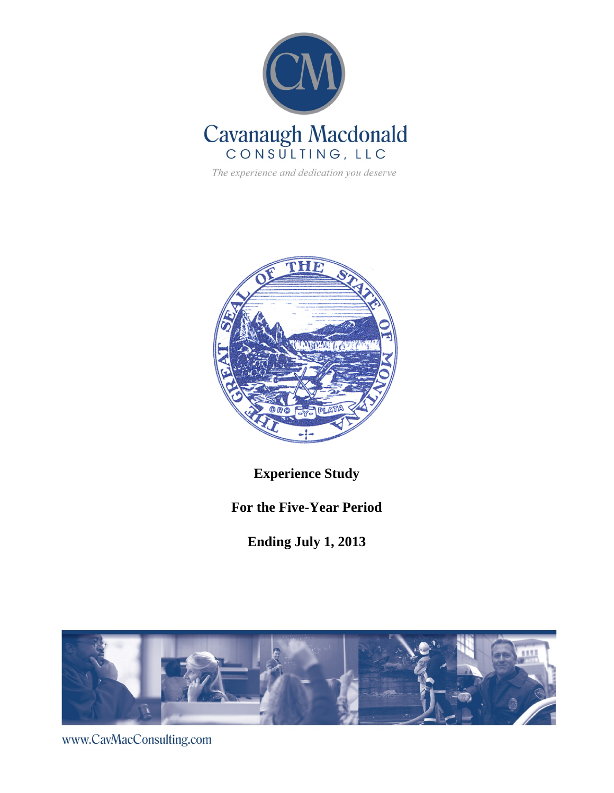

The experience and dedication you deserve



**Experience Study** 

**For the Five-Year Period** 

**Ending July 1, 2013** 



www.CavMacConsulting.com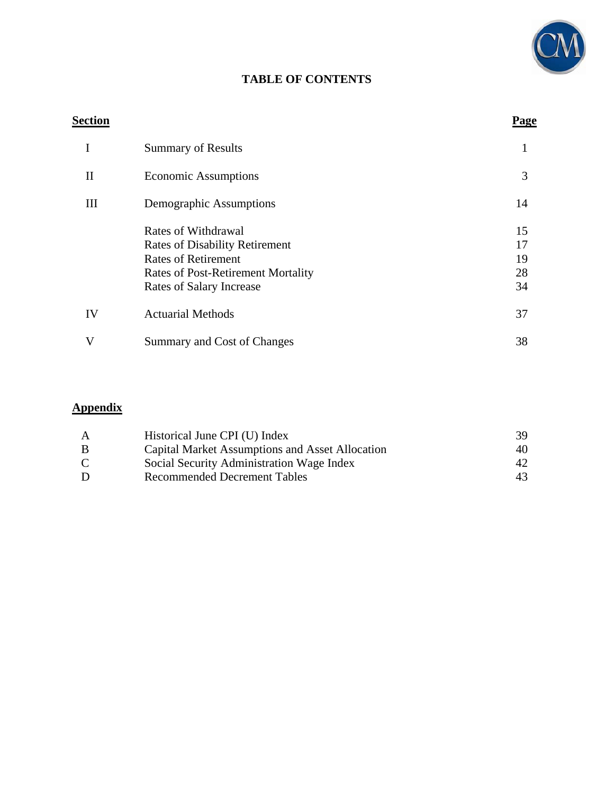

# **TABLE OF CONTENTS**

# **Section Page** I Summary of Results 1 II Economic Assumptions 3 III Demographic Assumptions 14 Rates of Withdrawal 15 Rates of Disability Retirement 17 Rates of Retirement<br>Rates of Post-Retirement Mortality<br>28 Rates of Post-Retirement Mortality Rates of Salary Increase 34 IV Actuarial Methods 37 V Summary and Cost of Changes 38

## **Appendix**

| $\mathbf{A}$ | Historical June CPI (U) Index                   | 39 |
|--------------|-------------------------------------------------|----|
| B            | Capital Market Assumptions and Asset Allocation | 40 |
| $\mathbf C$  | Social Security Administration Wage Index       | 42 |
| D            | <b>Recommended Decrement Tables</b>             | 43 |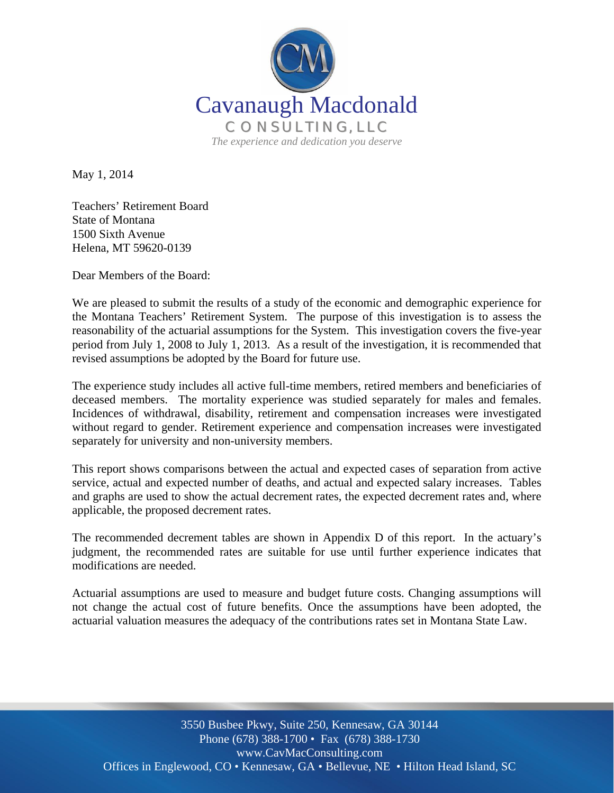

May 1, 2014

Teachers' Retirement Board State of Montana 1500 Sixth Avenue Helena, MT 59620-0139

Dear Members of the Board:

We are pleased to submit the results of a study of the economic and demographic experience for the Montana Teachers' Retirement System. The purpose of this investigation is to assess the reasonability of the actuarial assumptions for the System. This investigation covers the five-year period from July 1, 2008 to July 1, 2013. As a result of the investigation, it is recommended that revised assumptions be adopted by the Board for future use.

The experience study includes all active full-time members, retired members and beneficiaries of deceased members. The mortality experience was studied separately for males and females. Incidences of withdrawal, disability, retirement and compensation increases were investigated without regard to gender. Retirement experience and compensation increases were investigated separately for university and non-university members.

This report shows comparisons between the actual and expected cases of separation from active service, actual and expected number of deaths, and actual and expected salary increases. Tables and graphs are used to show the actual decrement rates, the expected decrement rates and, where applicable, the proposed decrement rates.

The recommended decrement tables are shown in Appendix D of this report. In the actuary's judgment, the recommended rates are suitable for use until further experience indicates that modifications are needed.

Actuarial assumptions are used to measure and budget future costs. Changing assumptions will not change the actual cost of future benefits. Once the assumptions have been adopted, the actuarial valuation measures the adequacy of the contributions rates set in Montana State Law.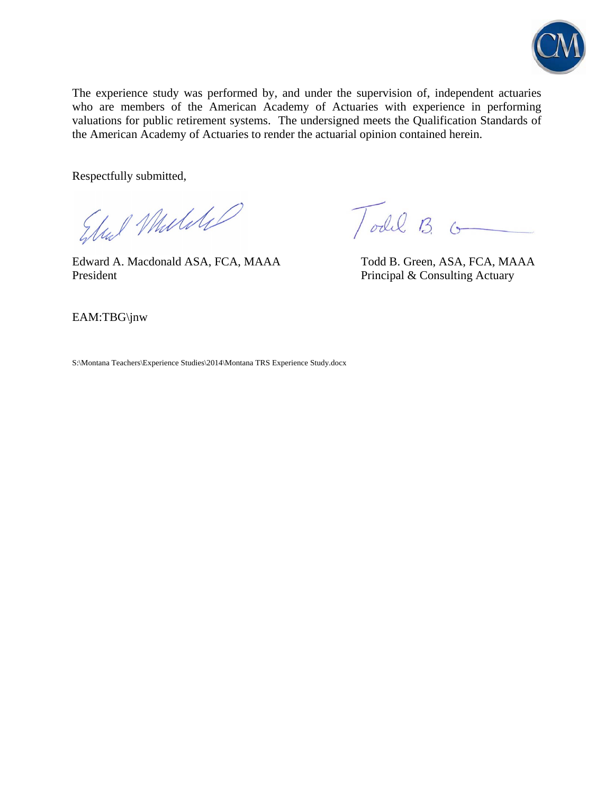

The experience study was performed by, and under the supervision of, independent actuaries who are members of the American Academy of Actuaries with experience in performing valuations for public retirement systems. The undersigned meets the Qualification Standards of the American Academy of Actuaries to render the actuarial opinion contained herein.

Respectfully submitted,

Ele Mulike

Edward A. Macdonald ASA, FCA, MAAA Todd B. Green, ASA, FCA, MAAA President President Principal & Consulting Actuary

Todd B.

EAM:TBG\jnw

S:\Montana Teachers\Experience Studies\2014\Montana TRS Experience Study.docx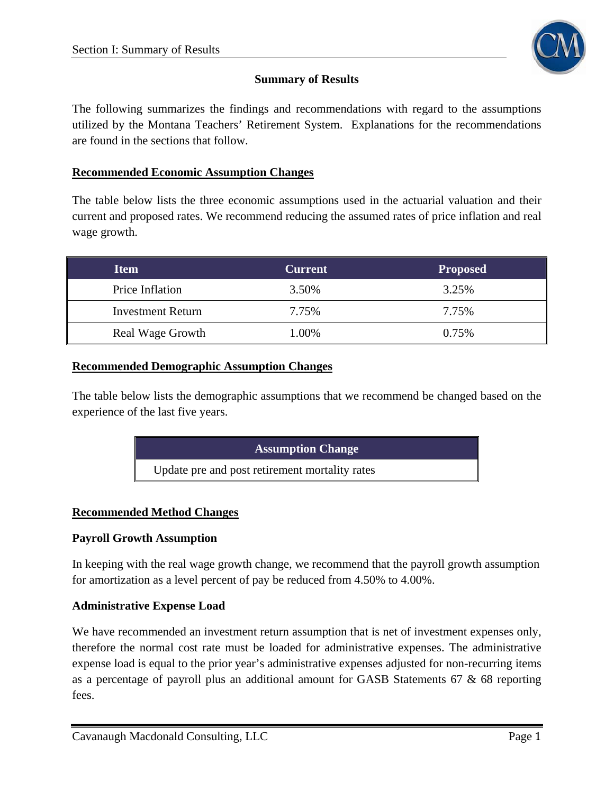

## **Summary of Results**

The following summarizes the findings and recommendations with regard to the assumptions utilized by the Montana Teachers' Retirement System. Explanations for the recommendations are found in the sections that follow.

#### **Recommended Economic Assumption Changes**

The table below lists the three economic assumptions used in the actuarial valuation and their current and proposed rates. We recommend reducing the assumed rates of price inflation and real wage growth.

| <b>Item</b>              | <b>Current</b> | <b>Proposed</b> |
|--------------------------|----------------|-----------------|
| Price Inflation          | 3.50%          | 3.25%           |
| <b>Investment Return</b> | 7.75%          | 7.75%           |
| <b>Real Wage Growth</b>  | 1.00%          | 0.75%           |

#### **Recommended Demographic Assumption Changes**

The table below lists the demographic assumptions that we recommend be changed based on the experience of the last five years.

| <b>Assumption Change</b>                       |  |
|------------------------------------------------|--|
| Update pre and post retirement mortality rates |  |

#### **Recommended Method Changes**

#### **Payroll Growth Assumption**

In keeping with the real wage growth change, we recommend that the payroll growth assumption for amortization as a level percent of pay be reduced from 4.50% to 4.00%.

#### **Administrative Expense Load**

We have recommended an investment return assumption that is net of investment expenses only, therefore the normal cost rate must be loaded for administrative expenses. The administrative expense load is equal to the prior year's administrative expenses adjusted for non-recurring items as a percentage of payroll plus an additional amount for GASB Statements 67 & 68 reporting fees.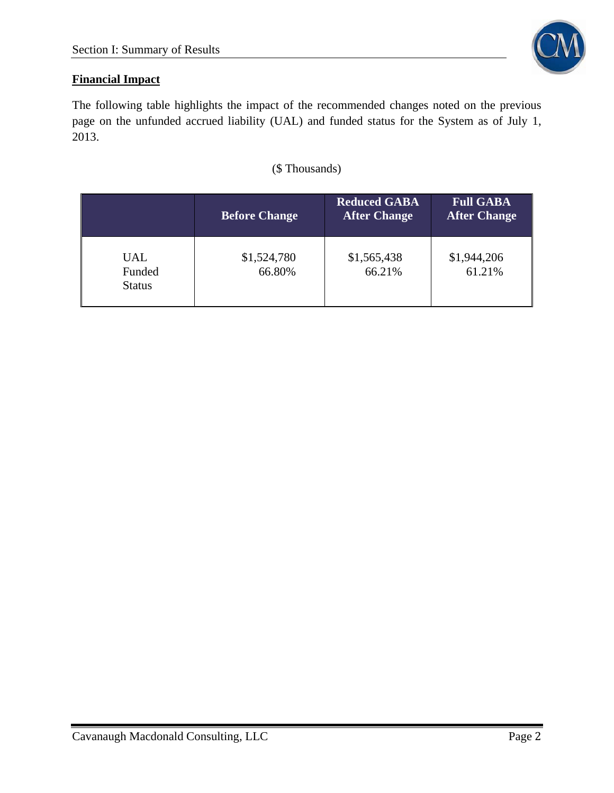

# **Financial Impact**

The following table highlights the impact of the recommended changes noted on the previous page on the unfunded accrued liability (UAL) and funded status for the System as of July 1, 2013.

## (\$ Thousands)

|                                       | <b>Before Change</b>  | <b>Reduced GABA</b><br><b>After Change</b> | <b>Full GABA</b><br><b>After Change</b> |
|---------------------------------------|-----------------------|--------------------------------------------|-----------------------------------------|
| <b>UAL</b><br>Funded<br><b>Status</b> | \$1,524,780<br>66.80% | \$1,565,438<br>66.21%                      | \$1,944,206<br>61.21%                   |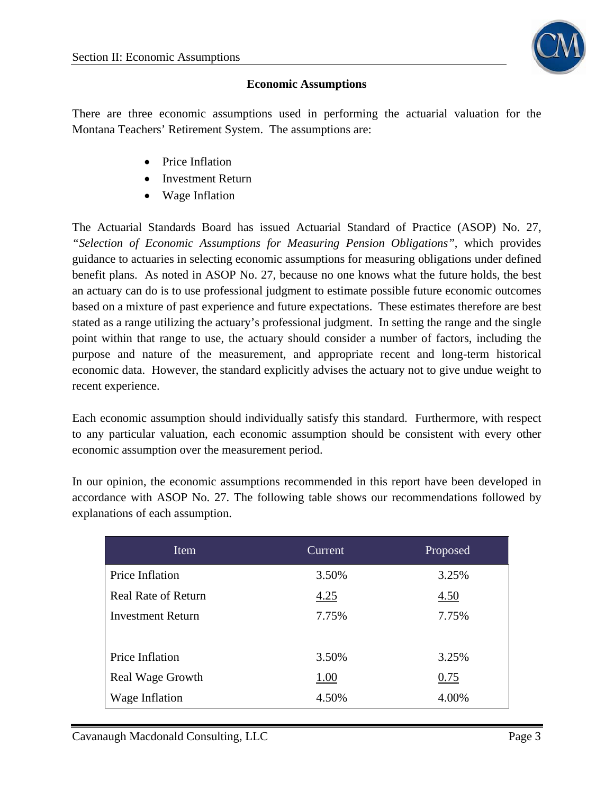

#### **Economic Assumptions**

There are three economic assumptions used in performing the actuarial valuation for the Montana Teachers' Retirement System. The assumptions are:

- Price Inflation
- Investment Return
- Wage Inflation

The Actuarial Standards Board has issued Actuarial Standard of Practice (ASOP) No. 27, *"Selection of Economic Assumptions for Measuring Pension Obligations"*, which provides guidance to actuaries in selecting economic assumptions for measuring obligations under defined benefit plans. As noted in ASOP No. 27, because no one knows what the future holds, the best an actuary can do is to use professional judgment to estimate possible future economic outcomes based on a mixture of past experience and future expectations. These estimates therefore are best stated as a range utilizing the actuary's professional judgment. In setting the range and the single point within that range to use, the actuary should consider a number of factors, including the purpose and nature of the measurement, and appropriate recent and long-term historical economic data. However, the standard explicitly advises the actuary not to give undue weight to recent experience.

Each economic assumption should individually satisfy this standard. Furthermore, with respect to any particular valuation, each economic assumption should be consistent with every other economic assumption over the measurement period.

In our opinion, the economic assumptions recommended in this report have been developed in accordance with ASOP No. 27. The following table shows our recommendations followed by explanations of each assumption.

| Item                       | Current | Proposed |
|----------------------------|---------|----------|
| Price Inflation            | 3.50%   | 3.25%    |
| <b>Real Rate of Return</b> | 4.25    | 4.50     |
| <b>Investment Return</b>   | 7.75%   | 7.75%    |
|                            |         |          |
| Price Inflation            | 3.50%   | 3.25%    |
| Real Wage Growth           | 1.00    | 0.75     |
| Wage Inflation             | 4.50%   | 4.00%    |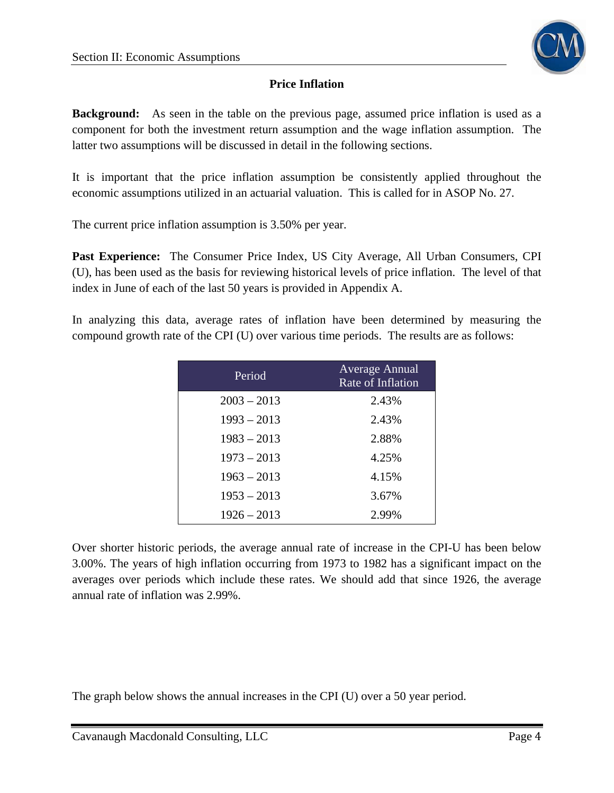

## **Price Inflation**

**Background:** As seen in the table on the previous page, assumed price inflation is used as a component for both the investment return assumption and the wage inflation assumption. The latter two assumptions will be discussed in detail in the following sections.

It is important that the price inflation assumption be consistently applied throughout the economic assumptions utilized in an actuarial valuation. This is called for in ASOP No. 27.

The current price inflation assumption is 3.50% per year.

**Past Experience:** The Consumer Price Index, US City Average, All Urban Consumers, CPI (U), has been used as the basis for reviewing historical levels of price inflation. The level of that index in June of each of the last 50 years is provided in Appendix A.

In analyzing this data, average rates of inflation have been determined by measuring the compound growth rate of the CPI (U) over various time periods. The results are as follows:

| Period        | <b>Average Annual</b><br>Rate of Inflation |
|---------------|--------------------------------------------|
| $2003 - 2013$ | 2.43%                                      |
| $1993 - 2013$ | 2.43%                                      |
| $1983 - 2013$ | 2.88%                                      |
| $1973 - 2013$ | 4.25%                                      |
| $1963 - 2013$ | 4.15%                                      |
| $1953 - 2013$ | 3.67%                                      |
| $1926 - 2013$ | 2.99%                                      |

Over shorter historic periods, the average annual rate of increase in the CPI-U has been below 3.00%. The years of high inflation occurring from 1973 to 1982 has a significant impact on the averages over periods which include these rates. We should add that since 1926, the average annual rate of inflation was 2.99%.

The graph below shows the annual increases in the CPI (U) over a 50 year period.